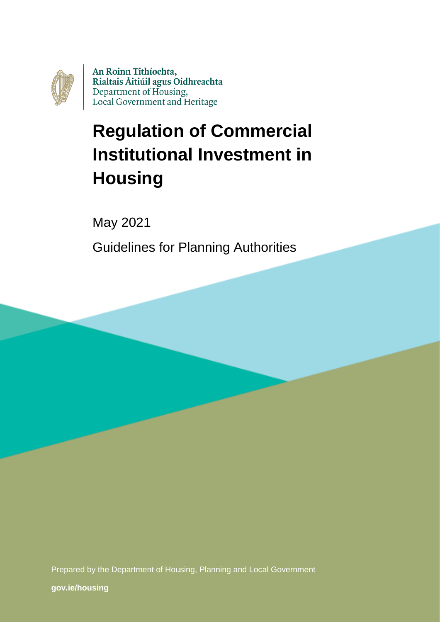

An Roinn Tithíochta, Rialtais Áitiúil agus Oidhreachta Department of Housing, Local Government and Heritage

# **Regulation of Commercial Institutional Investment in Housing**

May 2021

Guidelines for Planning Authorities

Prepared by the Department of Housing, Planning and Local Government

**[gov.ie/housing](https://www.gov.ie/en/organisation/department-of-housing-local-government-and-heritage/)**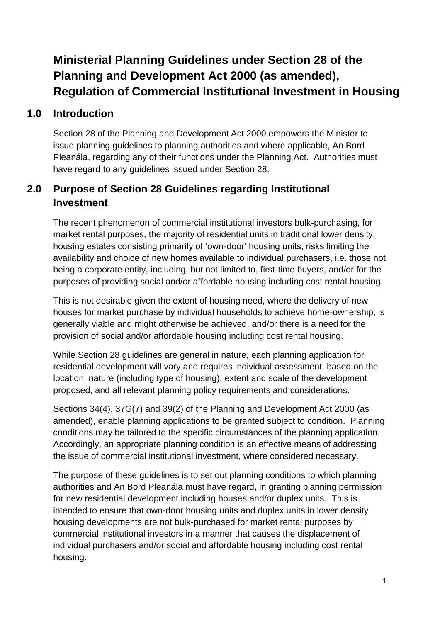# **Ministerial Planning Guidelines under Section 28 of the Planning and Development Act 2000 (as amended), Regulation of Commercial Institutional Investment in Housing**

#### **1.0 Introduction**

Section 28 of the Planning and Development Act 2000 empowers the Minister to issue planning guidelines to planning authorities and where applicable, An Bord Pleanála, regarding any of their functions under the Planning Act. Authorities must have regard to any guidelines issued under Section 28.

## **2.0 Purpose of Section 28 Guidelines regarding Institutional Investment**

The recent phenomenon of commercial institutional investors bulk-purchasing, for market rental purposes, the majority of residential units in traditional lower density, housing estates consisting primarily of 'own-door' housing units, risks limiting the availability and choice of new homes available to individual purchasers, i.e. those not being a corporate entity, including, but not limited to, first-time buyers, and/or for the purposes of providing social and/or affordable housing including cost rental housing.

This is not desirable given the extent of housing need, where the delivery of new houses for market purchase by individual households to achieve home-ownership, is generally viable and might otherwise be achieved, and/or there is a need for the provision of social and/or affordable housing including cost rental housing.

While Section 28 guidelines are general in nature, each planning application for residential development will vary and requires individual assessment, based on the location, nature (including type of housing), extent and scale of the development proposed, and all relevant planning policy requirements and considerations.

Sections 34(4), 37G(7) and 39(2) of the Planning and Development Act 2000 (as amended), enable planning applications to be granted subject to condition. Planning conditions may be tailored to the specific circumstances of the planning application. Accordingly, an appropriate planning condition is an effective means of addressing the issue of commercial institutional investment, where considered necessary.

The purpose of these guidelines is to set out planning conditions to which planning authorities and An Bord Pleanála must have regard, in granting planning permission for new residential development including houses and/or duplex units. This is intended to ensure that own-door housing units and duplex units in lower density housing developments are not bulk-purchased for market rental purposes by commercial institutional investors in a manner that causes the displacement of individual purchasers and/or social and affordable housing including cost rental housing.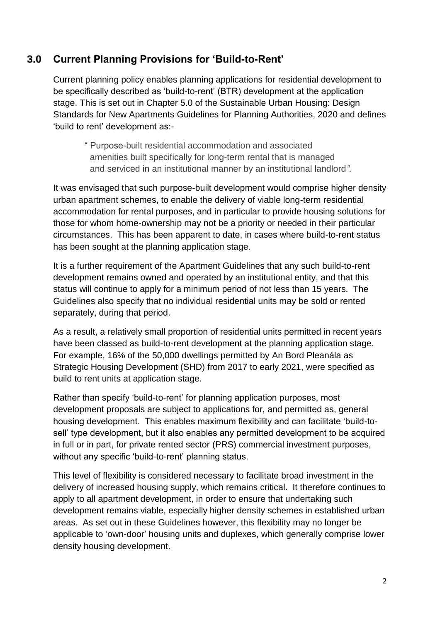#### **3.0 Current Planning Provisions for 'Build-to-Rent'**

Current planning policy enables planning applications for residential development to be specifically described as 'build-to-rent' (BTR) development at the application stage. This is set out in Chapter 5.0 of the Sustainable Urban Housing: Design Standards for New Apartments Guidelines for Planning Authorities, 2020 and defines 'build to rent' development as:-

" Purpose-built residential accommodation and associated amenities built specifically for long-term rental that is managed and serviced in an institutional manner by an institutional landlord*".*

It was envisaged that such purpose-built development would comprise higher density urban apartment schemes, to enable the delivery of viable long-term residential accommodation for rental purposes, and in particular to provide housing solutions for those for whom home-ownership may not be a priority or needed in their particular circumstances. This has been apparent to date, in cases where build-to-rent status has been sought at the planning application stage.

It is a further requirement of the Apartment Guidelines that any such build-to-rent development remains owned and operated by an institutional entity, and that this status will continue to apply for a minimum period of not less than 15 years. The Guidelines also specify that no individual residential units may be sold or rented separately, during that period.

As a result, a relatively small proportion of residential units permitted in recent years have been classed as build-to-rent development at the planning application stage. For example, 16% of the 50,000 dwellings permitted by An Bord Pleanála as Strategic Housing Development (SHD) from 2017 to early 2021, were specified as build to rent units at application stage.

Rather than specify 'build-to-rent' for planning application purposes, most development proposals are subject to applications for, and permitted as, general housing development. This enables maximum flexibility and can facilitate 'build-tosell' type development, but it also enables any permitted development to be acquired in full or in part, for private rented sector (PRS) commercial investment purposes, without any specific 'build-to-rent' planning status.

This level of flexibility is considered necessary to facilitate broad investment in the delivery of increased housing supply, which remains critical. It therefore continues to apply to all apartment development, in order to ensure that undertaking such development remains viable, especially higher density schemes in established urban areas. As set out in these Guidelines however, this flexibility may no longer be applicable to 'own-door' housing units and duplexes, which generally comprise lower density housing development.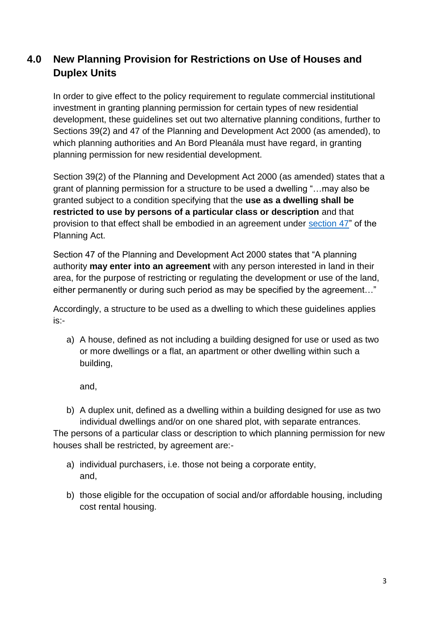## **4.0 New Planning Provision for Restrictions on Use of Houses and Duplex Units**

In order to give effect to the policy requirement to regulate commercial institutional investment in granting planning permission for certain types of new residential development, these guidelines set out two alternative planning conditions, further to Sections 39(2) and 47 of the Planning and Development Act 2000 (as amended), to which planning authorities and An Bord Pleanála must have regard, in granting planning permission for new residential development.

Section 39(2) of the Planning and Development Act 2000 (as amended) states that a grant of planning permission for a structure to be used a dwelling "…may also be granted subject to a condition specifying that the **use as a dwelling shall be restricted to use by persons of a particular class or description** and that provision to that effect shall be embodied in an agreement under [section 47"](https://revisedacts.lawreform.ie/eli/2000/act/30/revised/en/html) of the Planning Act.

Section 47 of the Planning and Development Act 2000 states that "A planning authority **may enter into an agreement** with any person interested in land in their area, for the purpose of restricting or regulating the development or use of the land, either permanently or during such period as may be specified by the agreement…"

Accordingly, a structure to be used as a dwelling to which these guidelines applies is:-

a) A house, defined as not including a building designed for use or used as two or more dwellings or a flat, an apartment or other dwelling within such a building,

and,

b) A duplex unit, defined as a dwelling within a building designed for use as two individual dwellings and/or on one shared plot, with separate entrances.

The persons of a particular class or description to which planning permission for new houses shall be restricted, by agreement are:-

- a) individual purchasers, i.e. those not being a corporate entity, and,
- b) those eligible for the occupation of social and/or affordable housing, including cost rental housing.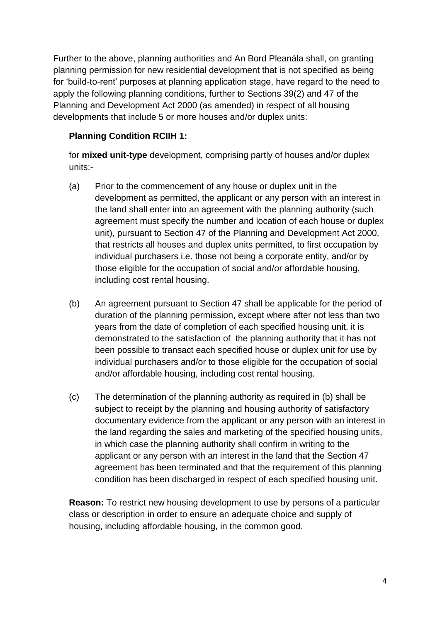Further to the above, planning authorities and An Bord Pleanála shall, on granting planning permission for new residential development that is not specified as being for 'build-to-rent' purposes at planning application stage, have regard to the need to apply the following planning conditions, further to Sections 39(2) and 47 of the Planning and Development Act 2000 (as amended) in respect of all housing developments that include 5 or more houses and/or duplex units:

#### **Planning Condition RCIIH 1:**

for **mixed unit-type** development, comprising partly of houses and/or duplex units:-

- (a) Prior to the commencement of any house or duplex unit in the development as permitted, the applicant or any person with an interest in the land shall enter into an agreement with the planning authority (such agreement must specify the number and location of each house or duplex unit), pursuant to Section 47 of the Planning and Development Act 2000, that restricts all houses and duplex units permitted, to first occupation by individual purchasers i.e. those not being a corporate entity, and/or by those eligible for the occupation of social and/or affordable housing, including cost rental housing.
- (b) An agreement pursuant to Section 47 shall be applicable for the period of duration of the planning permission, except where after not less than two years from the date of completion of each specified housing unit, it is demonstrated to the satisfaction of the planning authority that it has not been possible to transact each specified house or duplex unit for use by individual purchasers and/or to those eligible for the occupation of social and/or affordable housing, including cost rental housing.
- (c) The determination of the planning authority as required in (b) shall be subject to receipt by the planning and housing authority of satisfactory documentary evidence from the applicant or any person with an interest in the land regarding the sales and marketing of the specified housing units, in which case the planning authority shall confirm in writing to the applicant or any person with an interest in the land that the Section 47 agreement has been terminated and that the requirement of this planning condition has been discharged in respect of each specified housing unit.

**Reason:** To restrict new housing development to use by persons of a particular class or description in order to ensure an adequate choice and supply of housing, including affordable housing, in the common good.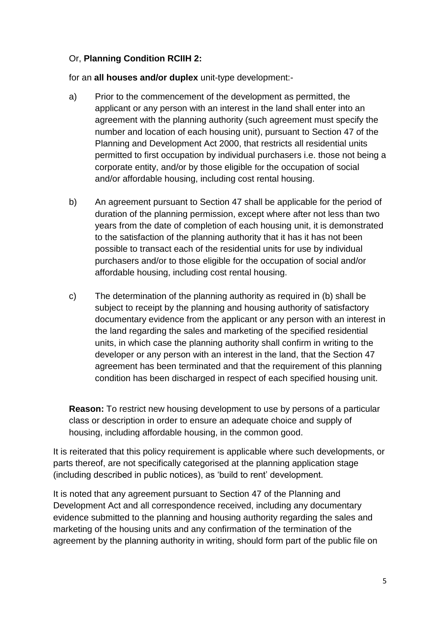#### Or, **Planning Condition RCIIH 2:**

for an **all houses and/or duplex** unit-type development:-

- a) Prior to the commencement of the development as permitted, the applicant or any person with an interest in the land shall enter into an agreement with the planning authority (such agreement must specify the number and location of each housing unit), pursuant to Section 47 of the Planning and Development Act 2000, that restricts all residential units permitted to first occupation by individual purchasers i.e. those not being a corporate entity, and/or by those eligible for the occupation of social and/or affordable housing, including cost rental housing.
- b) An agreement pursuant to Section 47 shall be applicable for the period of duration of the planning permission, except where after not less than two years from the date of completion of each housing unit, it is demonstrated to the satisfaction of the planning authority that it has it has not been possible to transact each of the residential units for use by individual purchasers and/or to those eligible for the occupation of social and/or affordable housing, including cost rental housing.
- c) The determination of the planning authority as required in (b) shall be subject to receipt by the planning and housing authority of satisfactory documentary evidence from the applicant or any person with an interest in the land regarding the sales and marketing of the specified residential units, in which case the planning authority shall confirm in writing to the developer or any person with an interest in the land, that the Section 47 agreement has been terminated and that the requirement of this planning condition has been discharged in respect of each specified housing unit.

**Reason:** To restrict new housing development to use by persons of a particular class or description in order to ensure an adequate choice and supply of housing, including affordable housing, in the common good.

It is reiterated that this policy requirement is applicable where such developments, or parts thereof, are not specifically categorised at the planning application stage (including described in public notices), as 'build to rent' development.

It is noted that any agreement pursuant to Section 47 of the Planning and Development Act and all correspondence received, including any documentary evidence submitted to the planning and housing authority regarding the sales and marketing of the housing units and any confirmation of the termination of the agreement by the planning authority in writing, should form part of the public file on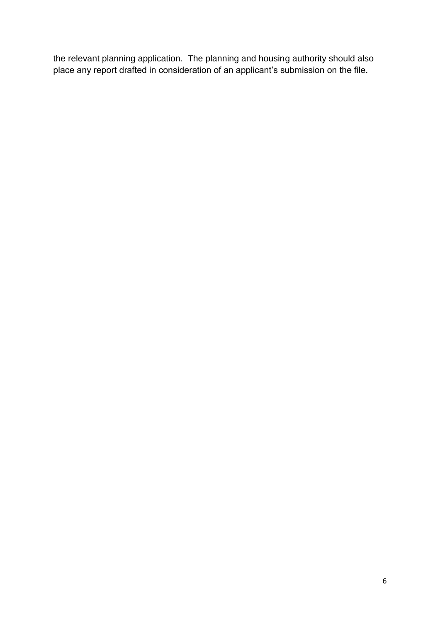the relevant planning application. The planning and housing authority should also place any report drafted in consideration of an applicant's submission on the file.